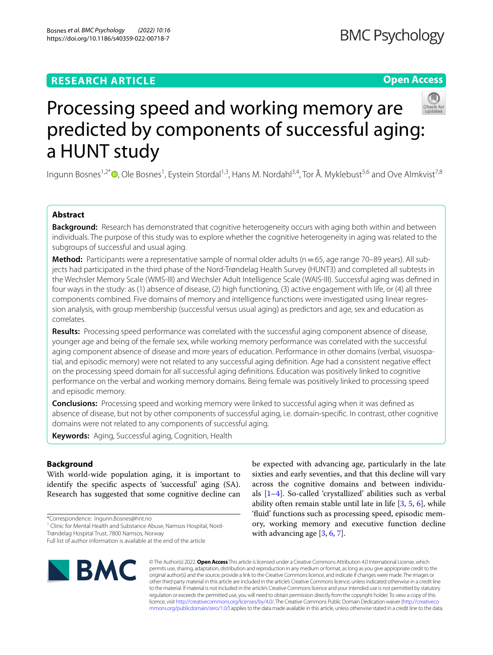# **RESEARCH ARTICLE**

# **BMC Psychology**

# **Open Access**



# Processing speed and working memory are predicted by components of successful aging: a HUNT study

Ingunn Bosnes<sup>1,2\*</sup>®[,](http://orcid.org/0000-0002-8841-3998) Ole Bosnes<sup>1</sup>, Eystein Stordal<sup>1,3</sup>, Hans M. Nordahl<sup>3,4</sup>, Tor Å. Myklebust<sup>5,6</sup> and Ove Almkvist<sup>7,8</sup>

# **Abstract**

**Background:** Research has demonstrated that cognitive heterogeneity occurs with aging both within and between individuals. The purpose of this study was to explore whether the cognitive heterogeneity in aging was related to the subgroups of successful and usual aging.

**Method:** Participants were a representative sample of normal older adults (n = 65, age range 70–89 years). All subjects had participated in the third phase of the Nord-Trøndelag Health Survey (HUNT3) and completed all subtests in the Wechsler Memory Scale (WMS-III) and Wechsler Adult Intelligence Scale (WAIS-III). Successful aging was defned in four ways in the study: as (1) absence of disease, (2) high functioning, (3) active engagement with life, or (4) all three components combined. Five domains of memory and intelligence functions were investigated using linear regression analysis, with group membership (successful versus usual aging) as predictors and age, sex and education as correlates.

**Results:** Processing speed performance was correlated with the successful aging component absence of disease, younger age and being of the female sex, while working memory performance was correlated with the successful aging component absence of disease and more years of education. Performance in other domains (verbal, visuospatial, and episodic memory) were not related to any successful aging defnition. Age had a consistent negative efect on the processing speed domain for all successful aging defnitions. Education was positively linked to cognitive performance on the verbal and working memory domains. Being female was positively linked to processing speed and episodic memory.

**Conclusions:** Processing speed and working memory were linked to successful aging when it was defned as absence of disease, but not by other components of successful aging, i.e. domain-specifc. In contrast, other cognitive domains were not related to any components of successful aging.

**Keywords:** Aging, Successful aging, Cognition, Health

# **Background**

With world-wide population aging, it is important to identify the specifc aspects of 'successful' aging (SA). Research has suggested that some cognitive decline can

\*Correspondence: Ingunn.Bosnes@hnt.no

Trøndelag Hospital Trust, 7800 Namsos, Norway

Full list of author information is available at the end of the article



be expected with advancing age, particularly in the late sixties and early seventies, and that this decline will vary across the cognitive domains and between individuals [[1](#page-7-0)[–4](#page-7-1)]. So-called 'crystallized' abilities such as verbal ability often remain stable until late in life  $[3, 5, 6]$  $[3, 5, 6]$  $[3, 5, 6]$  $[3, 5, 6]$  $[3, 5, 6]$  $[3, 5, 6]$  $[3, 5, 6]$ , while 'fuid' functions such as processing speed, episodic memory, working memory and executive function decline with advancing age [\[3](#page-7-2), [6,](#page-7-4) [7](#page-7-5)].

© The Author(s) 2022. **Open Access** This article is licensed under a Creative Commons Attribution 4.0 International License, which permits use, sharing, adaptation, distribution and reproduction in any medium or format, as long as you give appropriate credit to the original author(s) and the source, provide a link to the Creative Commons licence, and indicate if changes were made. The images or other third party material in this article are included in the article's Creative Commons licence, unless indicated otherwise in a credit line to the material. If material is not included in the article's Creative Commons licence and your intended use is not permitted by statutory regulation or exceeds the permitted use, you will need to obtain permission directly from the copyright holder. To view a copy of this licence, visit [http://creativecommons.org/licenses/by/4.0/.](http://creativecommons.org/licenses/by/4.0/) The Creative Commons Public Domain Dedication waiver ([http://creativeco](http://creativecommons.org/publicdomain/zero/1.0/) [mmons.org/publicdomain/zero/1.0/](http://creativecommons.org/publicdomain/zero/1.0/)) applies to the data made available in this article, unless otherwise stated in a credit line to the data.

<sup>&</sup>lt;sup>1</sup> Clinic for Mental Health and Substance Abuse, Namsos Hospital, Nord-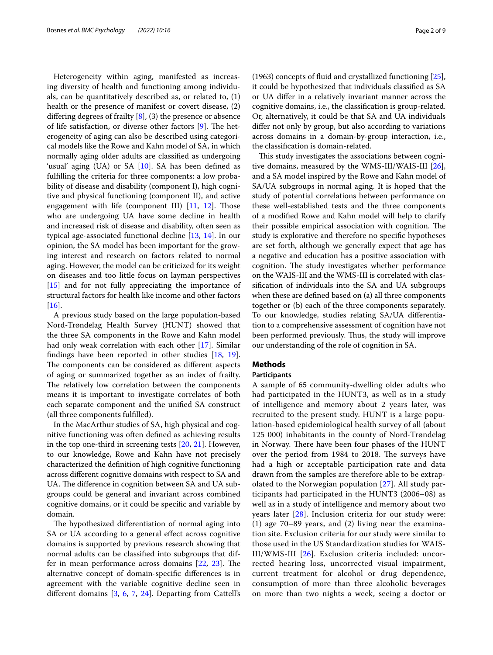Heterogeneity within aging, manifested as increasing diversity of health and functioning among individuals, can be quantitatively described as, or related to, (1) health or the presence of manifest or covert disease, (2) difering degrees of frailty [\[8](#page-7-6)], (3) the presence or absence of life satisfaction, or diverse other factors  $[9]$  $[9]$ . The heterogeneity of aging can also be described using categorical models like the Rowe and Kahn model of SA, in which normally aging older adults are classifed as undergoing 'usual' aging (UA) or SA [[10\]](#page-7-8). SA has been defined as fulflling the criteria for three components: a low probability of disease and disability (component I), high cognitive and physical functioning (component II), and active engagement with life (component III)  $[11, 12]$  $[11, 12]$  $[11, 12]$  $[11, 12]$ . Those who are undergoing UA have some decline in health and increased risk of disease and disability, often seen as typical age-associated functional decline [[13](#page-7-11), [14\]](#page-7-12). In our opinion, the SA model has been important for the growing interest and research on factors related to normal aging. However, the model can be criticized for its weight on diseases and too little focus on layman perspectives [[15\]](#page-7-13) and for not fully appreciating the importance of structural factors for health like income and other factors [[16\]](#page-7-14).

A previous study based on the large population-based Nord-Trøndelag Health Survey (HUNT) showed that the three SA components in the Rowe and Kahn model had only weak correlation with each other [\[17](#page-7-15)]. Similar fndings have been reported in other studies [\[18](#page-7-16), [19](#page-7-17)]. The components can be considered as different aspects of aging or summarized together as an index of frailty. The relatively low correlation between the components means it is important to investigate correlates of both each separate component and the unifed SA construct (all three components fulflled).

In the MacArthur studies of SA, high physical and cognitive functioning was often defned as achieving results in the top one-third in screening tests [\[20,](#page-7-18) [21\]](#page-7-19). However, to our knowledge, Rowe and Kahn have not precisely characterized the defnition of high cognitive functioning across diferent cognitive domains with respect to SA and UA. The difference in cognition between SA and UA subgroups could be general and invariant across combined cognitive domains, or it could be specifc and variable by domain.

The hypothesized differentiation of normal aging into SA or UA according to a general efect across cognitive domains is supported by previous research showing that normal adults can be classifed into subgroups that differ in mean performance across domains  $[22, 23]$  $[22, 23]$  $[22, 23]$  $[22, 23]$ . The alternative concept of domain-specifc diferences is in agreement with the variable cognitive decline seen in diferent domains [\[3](#page-7-2), [6](#page-7-4), [7](#page-7-5), [24\]](#page-7-22). Departing from Cattell's (1963) concepts of fuid and crystallized functioning [\[25](#page-7-23)], it could be hypothesized that individuals classifed as SA or UA difer in a relatively invariant manner across the cognitive domains, i.e., the classifcation is group-related. Or, alternatively, it could be that SA and UA individuals difer not only by group, but also according to variations across domains in a domain-by-group interaction, i.e., the classifcation is domain-related.

This study investigates the associations between cognitive domains, measured by the WMS-III/WAIS-III [\[26](#page-7-24)], and a SA model inspired by the Rowe and Kahn model of SA/UA subgroups in normal aging. It is hoped that the study of potential correlations between performance on these well-established tests and the three components of a modifed Rowe and Kahn model will help to clarify their possible empirical association with cognition. The study is explorative and therefore no specifc hypotheses are set forth, although we generally expect that age has a negative and education has a positive association with cognition. The study investigates whether performance on the WAIS-III and the WMS-III is correlated with classifcation of individuals into the SA and UA subgroups when these are defned based on (a) all three components together or (b) each of the three components separately. To our knowledge, studies relating SA/UA diferentiation to a comprehensive assessment of cognition have not been performed previously. Thus, the study will improve our understanding of the role of cognition in SA.

# **Methods**

## **Participants**

A sample of 65 community-dwelling older adults who had participated in the HUNT3, as well as in a study of intelligence and memory about 2 years later, was recruited to the present study. HUNT is a large population-based epidemiological health survey of all (about 125 000) inhabitants in the county of Nord-Trøndelag in Norway. There have been four phases of the HUNT over the period from 1984 to 2018. The surveys have had a high or acceptable participation rate and data drawn from the samples are therefore able to be extrapolated to the Norwegian population [\[27](#page-7-25)]. All study participants had participated in the HUNT3 (2006–08) as well as in a study of intelligence and memory about two years later [[28\]](#page-7-26). Inclusion criteria for our study were: (1) age 70–89 years, and (2) living near the examination site. Exclusion criteria for our study were similar to those used in the US Standardization studies for WAIS-III/WMS-III [[26\]](#page-7-24). Exclusion criteria included: uncorrected hearing loss, uncorrected visual impairment, current treatment for alcohol or drug dependence, consumption of more than three alcoholic beverages on more than two nights a week, seeing a doctor or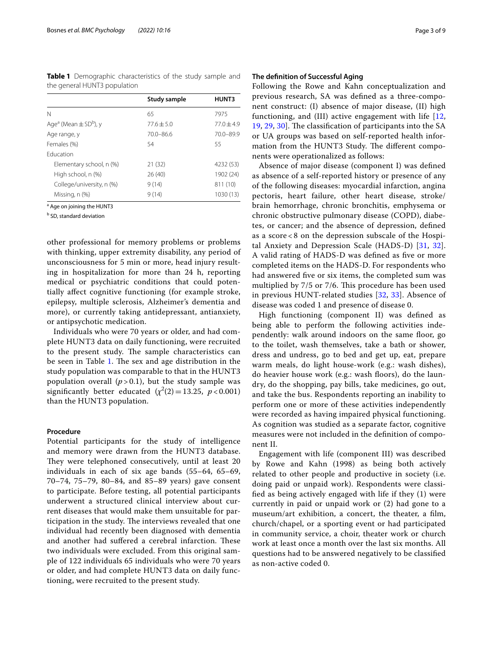<span id="page-2-0"></span>**Table 1** Demographic characteristics of the study sample and the general HUNT3 population

|                                                   | Study sample  | HUNT3        |
|---------------------------------------------------|---------------|--------------|
| N                                                 | 65            | 7975         |
| Age <sup>a</sup> (Mean $\pm$ SD <sup>b</sup> ), y | $77.6 + 5.0$  | $77.0 + 4.9$ |
| Age range, y                                      | $70.0 - 86.6$ | 70.0-89.9    |
| Females (%)                                       | 54            | 55           |
| <b>Education</b>                                  |               |              |
| Elementary school, n (%)                          | 21(32)        | 4232 (53)    |
| High school, n (%)                                | 26(40)        | 1902 (24)    |
| College/university, n (%)                         | 9(14)         | 811 (10)     |
| Missing, n (%)                                    | 9(14)         | 1030 (13)    |

<sup>a</sup> Age on joining the HUNT3

<sup>b</sup> SD, standard deviation

other professional for memory problems or problems with thinking, upper extremity disability, any period of unconsciousness for 5 min or more, head injury resulting in hospitalization for more than 24 h, reporting medical or psychiatric conditions that could potentially afect cognitive functioning (for example stroke, epilepsy, multiple sclerosis, Alzheimer's dementia and more), or currently taking antidepressant, antianxiety, or antipsychotic medication.

Individuals who were 70 years or older, and had complete HUNT3 data on daily functioning, were recruited to the present study. The sample characteristics can be seen in Table [1.](#page-2-0) The sex and age distribution in the study population was comparable to that in the HUNT3 population overall  $(p > 0.1)$ , but the study sample was significantly better educated  $(\chi^2(2)=13.25, p<0.001)$ than the HUNT3 population.

## **Procedure**

Potential participants for the study of intelligence and memory were drawn from the HUNT3 database. They were telephoned consecutively, until at least 20 individuals in each of six age bands (55–64, 65–69, 70–74, 75–79, 80–84, and 85–89 years) gave consent to participate. Before testing, all potential participants underwent a structured clinical interview about current diseases that would make them unsuitable for participation in the study. The interviews revealed that one individual had recently been diagnosed with dementia and another had suffered a cerebral infarction. These two individuals were excluded. From this original sample of 122 individuals 65 individuals who were 70 years or older, and had complete HUNT3 data on daily functioning, were recruited to the present study.

## **The defnition of Successful Aging**

Following the Rowe and Kahn conceptualization and previous research, SA was defned as a three-component construct: (I) absence of major disease, (II) high functioning, and (III) active engagement with life [\[12](#page-7-10), [19,](#page-7-17) [29,](#page-7-27) [30\]](#page-7-28). The classification of participants into the SA or UA groups was based on self-reported health information from the HUNT3 Study. The different components were operationalized as follows:

Absence of major disease (component I) was defned as absence of a self-reported history or presence of any of the following diseases: myocardial infarction, angina pectoris, heart failure, other heart disease, stroke/ brain hemorrhage, chronic bronchitis, emphysema or chronic obstructive pulmonary disease (COPD), diabetes, or cancer; and the absence of depression, defned as a score < 8 on the depression subscale of the Hospital Anxiety and Depression Scale (HADS-D) [\[31,](#page-7-29) [32](#page-7-30)]. A valid rating of HADS-D was defned as fve or more completed items on the HADS-D. For respondents who had answered fve or six items, the completed sum was multiplied by 7/5 or 7/6. This procedure has been used in previous HUNT-related studies [[32](#page-7-30), [33\]](#page-7-31). Absence of disease was coded 1 and presence of disease 0.

High functioning (component II) was defned as being able to perform the following activities independently: walk around indoors on the same floor, go to the toilet, wash themselves, take a bath or shower, dress and undress, go to bed and get up, eat, prepare warm meals, do light house-work (e.g.: wash dishes), do heavier house work (e.g.: wash floors), do the laundry, do the shopping, pay bills, take medicines, go out, and take the bus. Respondents reporting an inability to perform one or more of these activities independently were recorded as having impaired physical functioning. As cognition was studied as a separate factor, cognitive measures were not included in the defnition of component II.

Engagement with life (component III) was described by Rowe and Kahn (1998) as being both actively related to other people and productive in society (i.e. doing paid or unpaid work). Respondents were classifed as being actively engaged with life if they (1) were currently in paid or unpaid work or (2) had gone to a museum/art exhibition, a concert, the theater, a flm, church/chapel, or a sporting event or had participated in community service, a choir, theater work or church work at least once a month over the last six months. All questions had to be answered negatively to be classifed as non-active coded 0.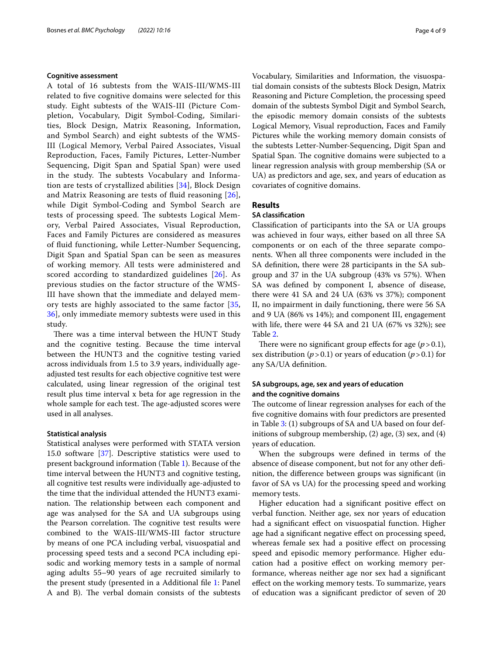#### **Cognitive assessment**

A total of 16 subtests from the WAIS-III/WMS-III related to fve cognitive domains were selected for this study. Eight subtests of the WAIS-III (Picture Completion, Vocabulary, Digit Symbol-Coding, Similarities, Block Design, Matrix Reasoning, Information, and Symbol Search) and eight subtests of the WMS-III (Logical Memory, Verbal Paired Associates, Visual Reproduction, Faces, Family Pictures, Letter-Number Sequencing, Digit Span and Spatial Span) were used in the study. The subtests Vocabulary and Information are tests of crystallized abilities [[34](#page-7-32)], Block Design and Matrix Reasoning are tests of fuid reasoning [[26\]](#page-7-24), while Digit Symbol-Coding and Symbol Search are tests of processing speed. The subtests Logical Memory, Verbal Paired Associates, Visual Reproduction, Faces and Family Pictures are considered as measures of fuid functioning, while Letter-Number Sequencing, Digit Span and Spatial Span can be seen as measures of working memory. All tests were administered and scored according to standardized guidelines [[26](#page-7-24)]. As previous studies on the factor structure of the WMS-III have shown that the immediate and delayed memory tests are highly associated to the same factor [\[35](#page-7-33), [36\]](#page-7-34), only immediate memory subtests were used in this study.

There was a time interval between the HUNT Study and the cognitive testing. Because the time interval between the HUNT3 and the cognitive testing varied across individuals from 1.5 to 3.9 years, individually ageadjusted test results for each objective cognitive test were calculated, using linear regression of the original test result plus time interval x beta for age regression in the whole sample for each test. The age-adjusted scores were used in all analyses.

## **Statistical analysis**

Statistical analyses were performed with STATA version 15.0 software [[37](#page-7-35)]. Descriptive statistics were used to present background information (Table [1](#page-2-0)). Because of the time interval between the HUNT3 and cognitive testing, all cognitive test results were individually age-adjusted to the time that the individual attended the HUNT3 examination. The relationship between each component and age was analysed for the SA and UA subgroups using the Pearson correlation. The cognitive test results were combined to the WAIS-III/WMS-III factor structure by means of one PCA including verbal, visuospatial and processing speed tests and a second PCA including episodic and working memory tests in a sample of normal aging adults 55–90 years of age recruited similarly to the present study (presented in a Additional fle [1:](#page-6-0) Panel A and B). The verbal domain consists of the subtests

Vocabulary, Similarities and Information, the visuospatial domain consists of the subtests Block Design, Matrix Reasoning and Picture Completion, the processing speed domain of the subtests Symbol Digit and Symbol Search, the episodic memory domain consists of the subtests Logical Memory, Visual reproduction, Faces and Family Pictures while the working memory domain consists of the subtests Letter-Number-Sequencing, Digit Span and Spatial Span. The cognitive domains were subjected to a linear regression analysis with group membership (SA or UA) as predictors and age, sex, and years of education as covariates of cognitive domains.

#### **Results**

#### **SA classifcation**

Classifcation of participants into the SA or UA groups was achieved in four ways, either based on all three SA components or on each of the three separate components. When all three components were included in the SA defnition, there were 28 participants in the SA subgroup and 37 in the UA subgroup (43% vs 57%). When SA was defned by component I, absence of disease, there were 41 SA and 24 UA (63% vs 37%); component II, no impairment in daily functioning, there were 56 SA and 9 UA (86% vs 14%); and component III, engagement with life, there were 44 SA and 21 UA (67% vs 32%); see Table [2](#page-4-0).

There were no significant group effects for age  $(p > 0.1)$ , sex distribution ( $p > 0.1$ ) or years of education ( $p > 0.1$ ) for any SA/UA defnition.

# **SA subgroups, age, sex and years of education and the cognitive domains**

The outcome of linear regression analyses for each of the fve cognitive domains with four predictors are presented in Table [3](#page-5-0): (1) subgroups of SA and UA based on four definitions of subgroup membership, (2) age, (3) sex, and (4) years of education.

When the subgroups were defned in terms of the absence of disease component, but not for any other defnition, the diference between groups was signifcant (in favor of SA vs UA) for the processing speed and working memory tests.

Higher education had a signifcant positive efect on verbal function. Neither age, sex nor years of education had a signifcant efect on visuospatial function. Higher age had a signifcant negative efect on processing speed, whereas female sex had a positive effect on processing speed and episodic memory performance. Higher education had a positive efect on working memory performance, whereas neither age nor sex had a signifcant efect on the working memory tests. To summarize, years of education was a signifcant predictor of seven of 20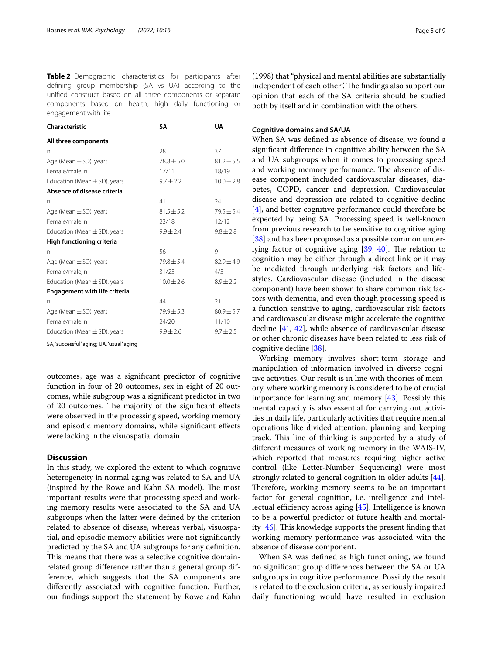<span id="page-4-0"></span>**Table 2** Demographic characteristics for participants after defning group membership (SA vs UA) according to the unifed construct based on all three components or separate components based on health, high daily functioning or engagement with life

| Characteristic                       | SΑ             | UA             |
|--------------------------------------|----------------|----------------|
| All three components                 |                |                |
| n                                    | 28             | 37             |
| Age (Mean $\pm$ SD), years           | $78.8 \pm 5.0$ | $81.2 \pm 5.5$ |
| Female/male, n                       | 17/11          | 18/19          |
| Education (Mean $\pm$ SD), years     | $9.7 \pm 2.2$  | $10.0 \pm 2.8$ |
| Absence of disease criteria          |                |                |
| n                                    | 41             | 24             |
| Age (Mean $\pm$ SD), years           | $81.5 \pm 5.2$ | $79.5 \pm 5.4$ |
| Female/male, n                       | 23/18          | 12/12          |
| Education (Mean $\pm$ SD), years     | $9.9 \pm 2.4$  | $9.8 \pm 2.8$  |
| High functioning criteria            |                |                |
| n                                    | 56             | 9              |
| Age (Mean $\pm$ SD), years           | $79.8 \pm 5.4$ | $82.9 \pm 4.9$ |
| Female/male, n                       | 31/25          | 4/5            |
| Education (Mean $\pm$ SD), years     | $10.0 \pm 2.6$ | $8.9 \pm 2.2$  |
| <b>Engagement with life criteria</b> |                |                |
| n                                    | 44             | 21             |
| Age (Mean $\pm$ SD), years           | $79.9 \pm 5.3$ | $80.9 \pm 5.7$ |
| Female/male, n                       | 24/20          | 11/10          |
| Education (Mean $\pm$ SD), years     | $9.9 \pm 2.6$  | $9.7 \pm 2.5$  |

SA, 'successful' aging; UA, 'usual' aging

outcomes, age was a signifcant predictor of cognitive function in four of 20 outcomes, sex in eight of 20 outcomes, while subgroup was a signifcant predictor in two of 20 outcomes. The majority of the significant effects were observed in the processing speed, working memory and episodic memory domains, while signifcant efects were lacking in the visuospatial domain.

# **Discussion**

In this study, we explored the extent to which cognitive heterogeneity in normal aging was related to SA and UA (inspired by the Rowe and Kahn SA model). The most important results were that processing speed and working memory results were associated to the SA and UA subgroups when the latter were defned by the criterion related to absence of disease, whereas verbal, visuospatial, and episodic memory abilities were not signifcantly predicted by the SA and UA subgroups for any defnition. This means that there was a selective cognitive domainrelated group diference rather than a general group difference, which suggests that the SA components are diferently associated with cognitive function. Further, our fndings support the statement by Rowe and Kahn

(1998) that "physical and mental abilities are substantially independent of each other". The findings also support our opinion that each of the SA criteria should be studied both by itself and in combination with the others.

# **Cognitive domains and SA/UA**

When SA was defned as absence of disease, we found a signifcant diference in cognitive ability between the SA and UA subgroups when it comes to processing speed and working memory performance. The absence of disease component included cardiovascular diseases, diabetes, COPD, cancer and depression. Cardiovascular disease and depression are related to cognitive decline [[4\]](#page-7-1), and better cognitive performance could therefore be expected by being SA. Processing speed is well-known from previous research to be sensitive to cognitive aging [[38\]](#page-8-0) and has been proposed as a possible common underlying factor of cognitive aging  $[39, 40]$  $[39, 40]$  $[39, 40]$  $[39, 40]$ . The relation to cognition may be either through a direct link or it may be mediated through underlying risk factors and lifestyles. Cardiovascular disease (included in the disease component) have been shown to share common risk factors with dementia, and even though processing speed is a function sensitive to aging, cardiovascular risk factors and cardiovascular disease might accelerate the cognitive decline [[41](#page-8-3), [42\]](#page-8-4), while absence of cardiovascular disease or other chronic diseases have been related to less risk of cognitive decline [\[38](#page-8-0)].

Working memory involves short-term storage and manipulation of information involved in diverse cognitive activities. Our result is in line with theories of memory, where working memory is considered to be of crucial importance for learning and memory [\[43](#page-8-5)]. Possibly this mental capacity is also essential for carrying out activities in daily life, particularly activities that require mental operations like divided attention, planning and keeping track. This line of thinking is supported by a study of diferent measures of working memory in the WAIS-IV, which reported that measures requiring higher active control (like Letter-Number Sequencing) were most strongly related to general cognition in older adults [\[44](#page-8-6)]. Therefore, working memory seems to be an important factor for general cognition, i.e. intelligence and intellectual efficiency across aging  $[45]$  $[45]$ . Intelligence is known to be a powerful predictor of future health and mortality  $[46]$  $[46]$  $[46]$ . This knowledge supports the present finding that working memory performance was associated with the absence of disease component.

When SA was defned as high functioning, we found no signifcant group diferences between the SA or UA subgroups in cognitive performance. Possibly the result is related to the exclusion criteria, as seriously impaired daily functioning would have resulted in exclusion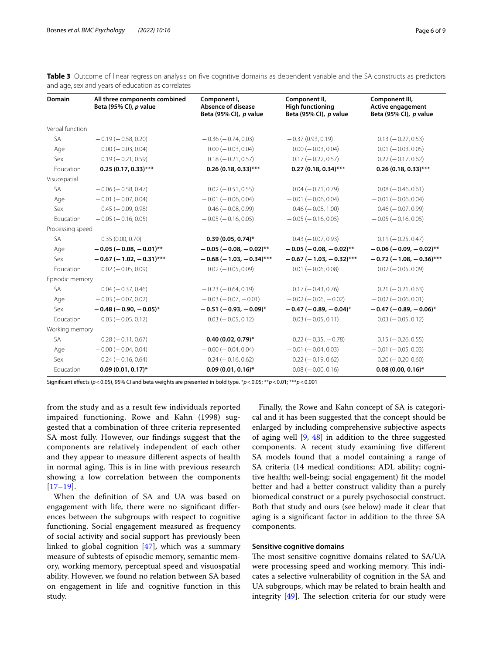| <b>Domain</b>    | All three components combined<br>Beta (95% CI), p value | Component I,<br>Absence of disease<br>Beta (95% CI), p value | Component II,<br><b>High functioning</b><br>Beta (95% CI), p value | Component III,<br>Active engagement<br>Beta (95% CI), p value |
|------------------|---------------------------------------------------------|--------------------------------------------------------------|--------------------------------------------------------------------|---------------------------------------------------------------|
| Verbal function  |                                                         |                                                              |                                                                    |                                                               |
| <b>SA</b>        | $-0.19$ ( $-0.58$ , 0.20)                               | $-0.36(-0.74, 0.03)$                                         | $-0.37(0.93, 0.19)$                                                | $0.13 (-0.27, 0.53)$                                          |
| Age              | $0.00 (-0.03, 0.04)$                                    | $0.00 (-0.03, 0.04)$                                         | $0.00 (-0.03, 0.04)$                                               | $0.01 (-0.03, 0.05)$                                          |
| Sex              | $0.19(-0.21, 0.59)$                                     | $0.18 (-0.21, 0.57)$                                         | $0.17 (-0.22, 0.57)$                                               | $0.22 (-0.17, 0.62)$                                          |
| Education        | $0.25(0.17, 0.33)$ ***                                  | $0.26(0.18, 0.33)$ ***                                       | $0.27(0.18, 0.34)$ ***                                             | $0.26(0.18, 0.33)$ ***                                        |
| Visuospatial     |                                                         |                                                              |                                                                    |                                                               |
| SA               | $-0.06$ ( $-0.58$ , 0.47)                               | $0.02 (-0.51, 0.55)$                                         | $0.04 (-0.71, 0.79)$                                               | $0.08 (-0.46, 0.61)$                                          |
| Age              | $-0.01$ ( $-0.07, 0.04$ )                               | $-0.01$ ( $-0.06, 0.04$ )                                    | $-0.01$ ( $-0.06$ , 0.04)                                          | $-0.01$ ( $-0.06$ , 0.04)                                     |
| Sex              | $0.45 (-0.09, 0.98)$                                    | $0.46 (-0.08, 0.99)$                                         | $0.46 (-0.08, 1.00)$                                               | $0.46 (-0.07, 0.99)$                                          |
| Education        | $-0.05$ ( $-0.16$ , 0.05)                               | $-0.05$ ( $-0.16$ , 0.05)                                    | $-0.05$ ( $-0.16$ , 0.05)                                          | $-0.05$ ( $-0.16$ , 0.05)                                     |
| Processing speed |                                                         |                                                              |                                                                    |                                                               |
| SA               | 0.35(0.00, 0.70)                                        | $0.39(0.05, 0.74)^*$                                         | $0.43 (-0.07, 0.93)$                                               | $0.11 (-0.25, 0.47)$                                          |
| Age              | $-0.05$ ( $-0.08$ , $-0.01$ )**                         | $-0.05$ ( $-0.08$ , $-0.02$ )**                              | $-0.05$ ( $-0.08$ , $-0.02$ )**                                    | $-0.06$ ( $-0.09$ , $-0.02$ )**                               |
| Sex              | $-0.67$ (-1.02, -0.31)***                               | $-0.68$ ( $-1.03$ , $-0.34$ )***                             | $-0.67$ (-1.03, -0.32)***                                          | $-0.72$ (-1.08, -0.36)***                                     |
| Education        | $0.02 (-0.05, 0.09)$                                    | $0.02 (-0.05, 0.09)$                                         | $0.01 (-0.06, 0.08)$                                               | $0.02 (-0.05, 0.09)$                                          |
| Episodic memory  |                                                         |                                                              |                                                                    |                                                               |
| <b>SA</b>        | $0.04 (-0.37, 0.46)$                                    | $-0.23$ ( $-0.64$ , 0.19)                                    | $0.17 (-0.43, 0.76)$                                               | $0.21 (-0.21, 0.63)$                                          |
| Age              | $-0.03 (-0.07, 0.02)$                                   | $-0.03(-0.07, -0.01)$                                        | $-0.02$ ( $-0.06$ , $-0.02$ )                                      | $-0.02$ ( $-0.06$ , 0.01)                                     |
| Sex              | $-0.48$ ( $-0.90$ , $-0.05$ )*                          | $-0.51(-0.93, -0.09)^{*}$                                    | $-0.47$ ( $-0.89$ , $-0.04$ )*                                     | $-0.47$ ( $-0.89$ , $-0.06$ )*                                |
| Education        | $0.03 (-0.05, 0.12)$                                    | $0.03 (-0.05, 0.12)$                                         | $0.03 (-0.05, 0.11)$                                               | $0.03 (-0.05, 0.12)$                                          |
| Working memory   |                                                         |                                                              |                                                                    |                                                               |
| <b>SA</b>        | $0.28 (-0.11, 0.67)$                                    | $0.40(0.02, 0.79)$ *                                         | $0.22 (-0.35, -0.78)$                                              | $0.15 (-0.26, 0.55)$                                          |
| Age              | $-0.00 (-0.04, 0.04)$                                   | $-0.00$ ( $-0.04$ , 0.04)                                    | $-0.01$ ( $-0.04$ , 0.03)                                          | $-0.01$ ( $-0.05, 0.03$ )                                     |
| Sex              | $0.24 (-0.16, 0.64)$                                    | $0.24 (-0.16, 0.62)$                                         | $0.22 (-0.19, 0.62)$                                               | $0.20 (-0.20, 0.60)$                                          |
| Education        | $0.09(0.01, 0.17)$ *                                    | $0.09(0.01, 0.16)$ *                                         | $0.08 (-0.00, 0.16)$                                               | $0.08(0.00, 0.16)$ *                                          |

<span id="page-5-0"></span>**Table 3** Outcome of linear regression analysis on five cognitive domains as dependent variable and the SA constructs as predictors and age, sex and years of education as correlates

Signifcant efects (*p*<0.05), 95% CI and beta weights are presented in bold type. \**p*<0.05; \*\**p*<0.01; \*\*\**p*<0.001

from the study and as a result few individuals reported impaired functioning. Rowe and Kahn (1998) suggested that a combination of three criteria represented SA most fully. However, our fndings suggest that the components are relatively independent of each other and they appear to measure diferent aspects of health in normal aging. This is in line with previous research showing a low correlation between the components [[17](#page-7-15)[–19](#page-7-17)].

When the defnition of SA and UA was based on engagement with life, there were no signifcant diferences between the subgroups with respect to cognitive functioning. Social engagement measured as frequency of social activity and social support has previously been linked to global cognition [[47](#page-8-9)], which was a summary measure of subtests of episodic memory, semantic memory, working memory, perceptual speed and visuospatial ability. However, we found no relation between SA based on engagement in life and cognitive function in this study.

Finally, the Rowe and Kahn concept of SA is categorical and it has been suggested that the concept should be enlarged by including comprehensive subjective aspects of aging well [\[9](#page-7-7), [48](#page-8-10)] in addition to the three suggested components. A recent study examining five different SA models found that a model containing a range of SA criteria (14 medical conditions; ADL ability; cognitive health; well-being; social engagement) ft the model better and had a better construct validity than a purely biomedical construct or a purely psychosocial construct. Both that study and ours (see below) made it clear that aging is a signifcant factor in addition to the three SA components.

# **Sensitive cognitive domains**

The most sensitive cognitive domains related to SA/UA were processing speed and working memory. This indicates a selective vulnerability of cognition in the SA and UA subgroups, which may be related to brain health and integrity  $[49]$  $[49]$  $[49]$ . The selection criteria for our study were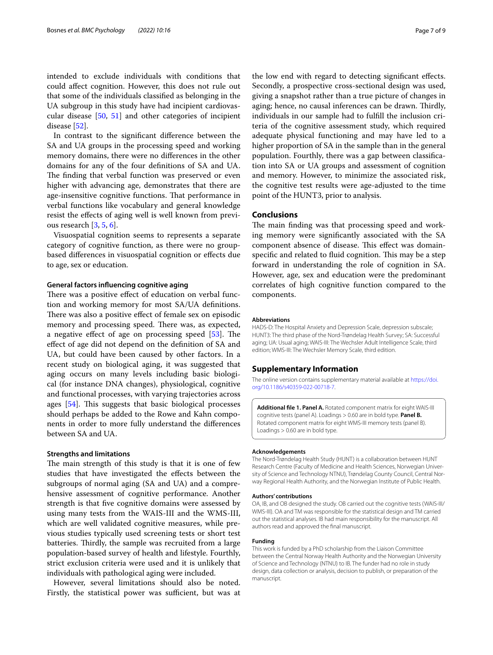intended to exclude individuals with conditions that could afect cognition. However, this does not rule out that some of the individuals classifed as belonging in the UA subgroup in this study have had incipient cardiovascular disease [\[50,](#page-8-12) [51](#page-8-13)] and other categories of incipient disease [\[52](#page-8-14)].

In contrast to the signifcant diference between the SA and UA groups in the processing speed and working memory domains, there were no diferences in the other domains for any of the four defnitions of SA and UA. The finding that verbal function was preserved or even higher with advancing age, demonstrates that there are age-insensitive cognitive functions. That performance in verbal functions like vocabulary and general knowledge resist the efects of aging well is well known from previous research [\[3](#page-7-2), [5,](#page-7-3) [6](#page-7-4)].

Visuospatial cognition seems to represents a separate category of cognitive function, as there were no groupbased diferences in visuospatial cognition or efects due to age, sex or education.

#### **General factors infuencing cognitive aging**

There was a positive effect of education on verbal function and working memory for most SA/UA defnitions. There was also a positive effect of female sex on episodic memory and processing speed. There was, as expected, a negative effect of age on processing speed  $[53]$  $[53]$ . The efect of age did not depend on the defnition of SA and UA, but could have been caused by other factors. In a recent study on biological aging, it was suggested that aging occurs on many levels including basic biological (for instance DNA changes), physiological, cognitive and functional processes, with varying trajectories across ages  $[54]$  $[54]$ . This suggests that basic biological processes should perhaps be added to the Rowe and Kahn components in order to more fully understand the diferences between SA and UA.

#### **Strengths and limitations**

The main strength of this study is that it is one of few studies that have investigated the effects between the subgroups of normal aging (SA and UA) and a comprehensive assessment of cognitive performance. Another strength is that fve cognitive domains were assessed by using many tests from the WAIS-III and the WMS-III, which are well validated cognitive measures, while previous studies typically used screening tests or short test batteries. Thirdly, the sample was recruited from a large population-based survey of health and lifestyle. Fourthly, strict exclusion criteria were used and it is unlikely that individuals with pathological aging were included.

However, several limitations should also be noted. Firstly, the statistical power was sufficient, but was at

the low end with regard to detecting signifcant efects. Secondly, a prospective cross-sectional design was used, giving a snapshot rather than a true picture of changes in aging; hence, no causal inferences can be drawn. Thirdly, individuals in our sample had to fulfll the inclusion criteria of the cognitive assessment study, which required adequate physical functioning and may have led to a higher proportion of SA in the sample than in the general population. Fourthly, there was a gap between classifcation into SA or UA groups and assessment of cognition and memory. However, to minimize the associated risk, the cognitive test results were age-adjusted to the time point of the HUNT3, prior to analysis.

# **Conclusions**

The main finding was that processing speed and working memory were signifcantly associated with the SA component absence of disease. This effect was domainspecific and related to fluid cognition. This may be a step forward in understanding the role of cognition in SA. However, age, sex and education were the predominant correlates of high cognitive function compared to the components.

#### **Abbreviations**

HADS-D: The Hospital Anxiety and Depression Scale, depression subscale; HUNT3: The third phase of the Nord-Trøndelag Health Survey; SA: Successful aging; UA: Usual aging; WAIS-III: The Wechsler Adult Intelligence Scale, third edition; WMS-III: The Wechsler Memory Scale, third edition.

## **Supplementary Information**

The online version contains supplementary material available at [https://doi.](https://doi.org/10.1186/s40359-022-00718-7) [org/10.1186/s40359-022-00718-7](https://doi.org/10.1186/s40359-022-00718-7).

<span id="page-6-0"></span>**Additional fle 1. Panel A.** Rotated component matrix for eight WAIS-III cognitive tests (panel A). Loadings > 0.60 are in bold type. **Panel B.** Rotated component matrix for eight WMS-III memory tests (panel B). Loadings > 0.60 are in bold type.

#### **Acknowledgements**

The Nord-Trøndelag Health Study (HUNT) is a collaboration between HUNT Research Centre (Faculty of Medicine and Health Sciences, Norwegian University of Science and Technology NTNU), Trøndelag County Council, Central Norway Regional Health Authority, and the Norwegian Institute of Public Health.

#### **Authors' contributions**

OA, IB, and OB designed the study. OB carried out the cognitive tests (WAIS-III/ WMS-III). OA and TM was responsible for the statistical design and TM carried out the statistical analyses. IB had main responsibility for the manuscript. All authors read and approved the fnal manuscript.

# **Funding**

This work is funded by a PhD scholarship from the Liaison Committee between the Central Norway Health Authority and the Norwegian University of Science and Technology (NTNU) to IB. The funder had no role in study design, data collection or analysis, decision to publish, or preparation of the manuscript.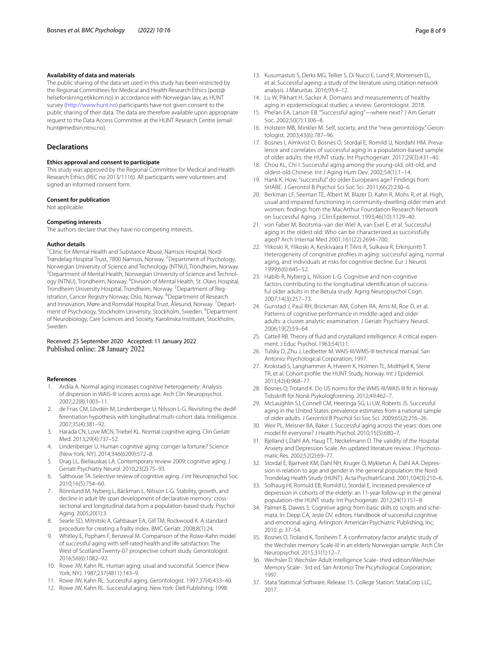#### **Availability of data and materials**

The public sharing of the data set used in this study has been restricted by the Regional Committees for Medical and Health Research Ethics (post@ helseforskning.etikkom.no) in accordance with Norwegian law, as HUNT survey (<http://www.hunt.no>) participants have not given consent to the public sharing of their data. The data are therefore available upon appropriate request to the Data Access Committee at the HUNT Research Centre (email: hunt@medisin.ntnu.no).

## **Declarations**

#### **Ethics approval and consent to participate**

This study was approved by the Regional Committee for Medical and Health Research Ethics (REC no 2013/1116). All participants were volunteers and signed an informed consent form.

#### **Consent for publication**

Not applicable.

#### **Competing interests**

The authors declare that they have no competing interests.

#### **Author details**

<sup>1</sup> Clinic for Mental Health and Substance Abuse, Namsos Hospital, Nord-Trøndelag Hospital Trust, 7800 Namsos, Norway. <sup>2</sup> Department of Psychology, Norwegian University of Science and Technology (NTNU), Trondheim, Norway. <sup>3</sup> Department of Mental Health, Norwegian University of Science and Technology (NTNU), Trondheim, Norway. <sup>4</sup> Division of Mental Health, St. Olavs Hospital, Trondheim University Hospital, Trondheim, Norway. <sup>5</sup> Department of Registration, Cancer Registry Norway, Oslo, Norway. <sup>6</sup> Department of Research and Innovation, Møre and Romsdal Hospital Trust, Ålesund, Norway. <sup>7</sup> Department of Psychology, Stockholm University, Stockholm, Sweden. <sup>8</sup> Department of Neurobiology, Care Sciences and Society, Karolinska Institutet, Stockholm, Sweden.

Received: 25 September 2020 Accepted: 11 January 2022 Published online: 28 January 2022

#### **References**

- <span id="page-7-0"></span>1. Ardila A. Normal aging increases cognitive heterogeneity: Analysis of dispersion in WAIS-III scores across age. Arch Clin Neuropsychol. 2007;22(8):1003–11.
- 2. de Frias CM, Lövdén M, Lindenberger U, Nilsson L-G. Revisiting the dedifferentiation hypothesis with longitudinal multi-cohort data. Intelligence. 2007;35(4):381–92.
- <span id="page-7-2"></span>3. Harada CN, Love MCN, Triebel KL. Normal cognitive aging. Clin Geriatr Med. 2013;29(4):737–52.
- <span id="page-7-1"></span>4. Lindenberger U. Human cognitive aging: corriger la fortune? Science (New York, NY). 2014;346(6209):572–8.
- <span id="page-7-3"></span>5. Drag LL, Bieliauskas LA. Contemporary review 2009: cognitive aging. J Geriatr Psychiatry Neurol. 2010;23(2):75–93.
- <span id="page-7-4"></span>6. Salthouse TA. Selective review of cognitive aging. J Int Neuropsychol Soc. 2010;16(5):754–60.
- <span id="page-7-5"></span>7. Rönnlund M, Nyberg L, Bäckman L, Nilsson L-G. Stability, growth, and decline in adult life span development of declarative memory: crosssectional and longitudinal data from a population-based study. Psychol Aging. 2005;20(1):3.
- <span id="page-7-6"></span>8. Searle SD, Mitnitski A, Gahbauer EA, Gill TM, Rockwood K. A standard procedure for creating a frailty index. BMC Geriatr. 2008;8(1):24.
- <span id="page-7-7"></span>9. Whitley E, Popham F, Benzeval M. Comparison of the Rowe-Kahn model of successful aging with self-rated health and life satisfaction: The West of Scotland Twenty-07 prospective cohort study. Gerontologist. 2016;56(6):1082–92.
- <span id="page-7-8"></span>10. Rowe JW, Kahn RL. Human aging: usual and successful. Science (New York, NY). 1987;237(4811):143–9.
- <span id="page-7-9"></span>11. Rowe JW, Kahn RL. Successful aging. Gerontologist. 1997;37(4):433–40.
- <span id="page-7-10"></span>12. Rowe JW, Kahn RL. Successful aging. New York: Dell Publishing; 1998.
- <span id="page-7-11"></span>13. Kusumastuti S, Derks MG, Tellier S, Di Nucci E, Lund R, Mortensen EL, et al. Successful ageing: a study of the literature using citation network analysis. J Maturitas. 2016;93:4–12.
- <span id="page-7-12"></span>14. Lu W, Pikhart H, Sacker A. Domains and measurements of healthy aging in epidemiological studies: a review. Gerontologist. 2018.
- <span id="page-7-13"></span>15. Phelan EA, Larson EB. "Successful aging"—where next? J Am Geriatr Soc. 2002;50(7):1306–8.
- <span id="page-7-14"></span>16. Holstein MB, Minkler M. Self, society, and the "new gerontology." Gerontologist. 2003;43(6):787–96.
- <span id="page-7-15"></span>17. Bosnes I, Almkvist O, Bosnes O, Stordal E, Romild U, Nordahl HM. Prevalence and correlates of successful aging in a population-based sample of older adults: the HUNT study. Int Psychogeriatr. 2017;29(3):431–40.
- <span id="page-7-16"></span>18. Chou KL, Chi I. Successful aging among the young-old, old-old, and oldest-old Chinese. Int J Aging Hum Dev. 2002;54(1):1–14.
- <span id="page-7-17"></span>19. Hank K. How, "successful" do older Europeans age? Findings from SHARE. J Gerontol B Psychol Sci Soc Sci. 2011;66(2):230–6.
- <span id="page-7-18"></span>20. Berkman LF, Seeman TE, Albert M, Blazer D, Kahn R, Mohs R, et al. High, usual and impaired functioning in community-dwelling older men and women: fndings from the MacArthur Foundation Research Network on Successful Aging. J Clin Epidemiol. 1993;46(10):1129–40.
- <span id="page-7-19"></span>21. von Faber M, Bootsma–van der Wiel A, van Exel E, et al. Successful aging in the oldest old: Who can be characterized as successfully aged? Arch Internal Med 2001;161(22):2694–700.
- <span id="page-7-20"></span>22. Ylikoski R, Ylikoski A, Keskivaara P, Tilvis R, Sulkava R, Erkinjuntti T. Heterogeneity of congnitive profles in aging: successful aging, normal aging, and individuals at risks for cognitive decline. Eur J Neurol. 1999;6(6):645–52.
- <span id="page-7-21"></span>23. Habib R, Nyberg L, Nilsson L-G. Cognitive and non-cognitive factors contributing to the longitudinal identifcation of successful older adults in the Betula study. Aging Neuropsychol Cogn. 2007;14(3):257–73.
- <span id="page-7-22"></span>24. Gunstad J, Paul RH, Brickman AM, Cohen RA, Arns M, Roe D, et al. Patterns of cognitive performance in middle-aged and older adults: a cluster analytic examination. J Geriatr Psychiatry Neurol. 2006;19(2):59–64.
- <span id="page-7-23"></span>25. Cattell RB. Theory of fuid and crystallized intelligence: A critical experiment. J Educ Psychol. 1963;54(1):1.
- <span id="page-7-24"></span>26. Tulsky D, Zhu J, Ledbetter M. WAIS-III/WMS-III technical manual. San Antonio: Psychological Corporation; 1997.
- <span id="page-7-25"></span>27. Krokstad S, Langhammer A, Hveem K, Holmen TL, Midthjell K, Stene TR, et al. Cohort profle: the HUNT Study, Norway. Int J Epidemiol. 2013;42(4):968–77.
- <span id="page-7-26"></span>28. Bosnes O, Troland K. Do US norms for the WMS-III/WAIS III ft in Norway. Tidsskrift for Norsk Psykologforening. 2012;49:462–7.
- <span id="page-7-27"></span>29. McLaughlin SJ, Connell CM, Heeringa SG, Li LW, Roberts JS. Successful aging in the United States: prevalence estimates from a national sample of older adults. J Gerontol B Psychol Sci Soc Sci. 2009;65(2):216–26.
- <span id="page-7-28"></span>30. Weir PL, Meisner BA, Baker J. Successful aging across the years: does one model ft everyone? J Health Psychol. 2010;15(5):680–7.
- <span id="page-7-29"></span>31. Bjelland I, Dahl AA, Haug TT, Neckelmann D. The validity of the Hospital Anxiety and Depression Scale. An updated literature review. J Psychosomatic Res. 2002;52(2):69–77.
- <span id="page-7-30"></span>32. Stordal E, Bjartveit KM, Dahl NH, Kruger O, Mykletun A, Dahl AA. Depression in relation to age and gender in the general population: the Nord-Trondelag Health Study (HUNT). Acta PsychiatrScand. 2001;104(3):210–6.
- <span id="page-7-31"></span>33. Solhaug HI, Romuld EB, Romild U, Stordal E. Increased prevalence of depression in cohorts of the elderly: an 11-year follow-up in the general population–the HUNT study. Int Psychogeriatr. 2012;24(1):151–8.
- <span id="page-7-32"></span>34. Palmer B, Dawes S. Cognitive aging: from basic skills to scripts and schemata. In: Depp CA, Jeste DV, editors. Handbook of successful cognitive and emotional aging. Arlington: American Psychiatric Publishing, Inc; 2010. p. 37–54.
- <span id="page-7-33"></span>35. Bosnes O, Troland K, Torsheim T. A confrmatory factor analytic study of the Wechsler memory Scale-III in an elderly Norwegian sample. Arch Clin Neuropsychol. 2015;31(1):12–7.
- <span id="page-7-34"></span>36. Wechsler D. Wechsler Adult Intelligence Scale- third edition/Wechsler Memory Scale-. 3rd ed. San Antonio: The Pscyhological Corporation; 1997.
- <span id="page-7-35"></span>37. Stata Statistical Software. Release 15. College Station: StataCorp LLC; 2017.